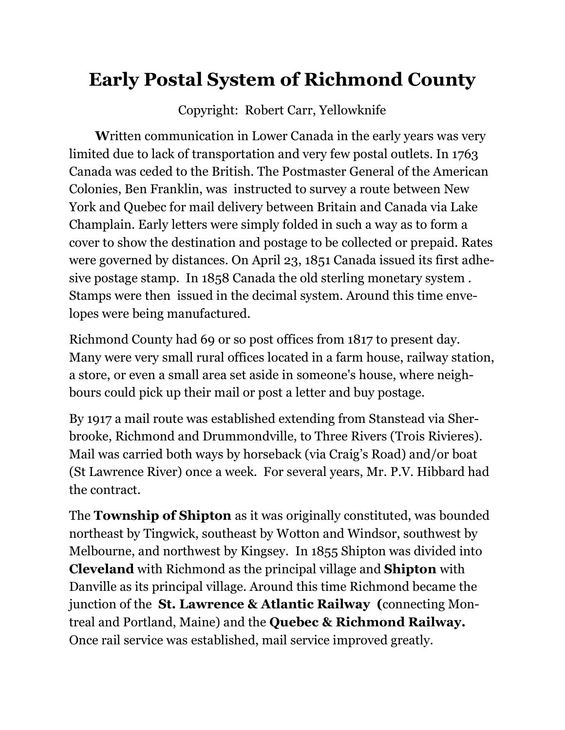## **Early Postal System of Richmond County**

Copyright: Robert Carr, Yellowknife

**W**ritten communication in Lower Canada in the early years was very limited due to lack of transportation and very few postal outlets. In 1763 Canada was ceded to the British. The Postmaster General of the American Colonies, Ben Franklin, was instructed to survey a route between New York and Quebec for mail delivery between Britain and Canada via Lake Champlain. Early letters were simply folded in such a way as to form a cover to show the destination and postage to be collected or prepaid. Rates were governed by distances. On April 23, 1851 Canada issued its first adhesive postage stamp. In 1858 Canada the old sterling monetary system . Stamps were then issued in the decimal system. Around this time envelopes were being manufactured.

Richmond County had 69 or so post offices from 1817 to present day. Many were very small rural offices located in a farm house, railway station, a store, or even a small area set aside in someone's house, where neighbours could pick up their mail or post a letter and buy postage.

By 1917 a mail route was established extending from Stanstead via Sherbrooke, Richmond and Drummondville, to Three Rivers (Trois Rivieres). Mail was carried both ways by horseback (via Craig's Road) and/or boat (St Lawrence River) once a week. For several years, Mr. P.V. Hibbard had the contract.

The **Township of Shipton** as it was originally constituted, was bounded northeast by Tingwick, southeast by Wotton and Windsor, southwest by Melbourne, and northwest by Kingsey. In 1855 Shipton was divided into **Cleveland** with Richmond as the principal village and **Shipton** with Danville as its principal village. Around this time Richmond became the junction of the **St. Lawrence & Atlantic Railway (**connecting Montreal and Portland, Maine) and the **Quebec & Richmond Railway.**  Once rail service was established, mail service improved greatly.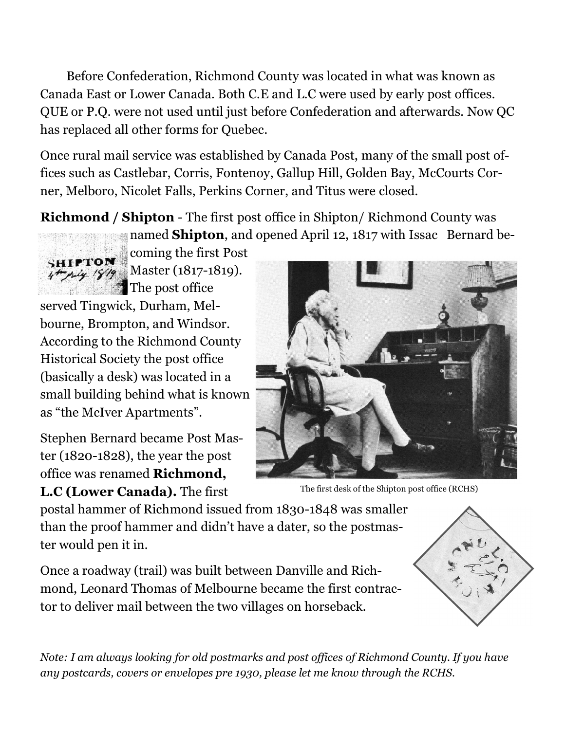Before Confederation, Richmond County was located in what was known as Canada East or Lower Canada. Both C.E and L.C were used by early post offices. QUE or P.Q. were not used until just before Confederation and afterwards. Now QC has replaced all other forms for Quebec.

Once rural mail service was established by Canada Post, many of the small post offices such as Castlebar, Corris, Fontenoy, Gallup Hill, Golden Bay, McCourts Corner, Melboro, Nicolet Falls, Perkins Corner, and Titus were closed.

**Richmond / Shipton** - The first post office in Shipton/ Richmond County was named **Shipton**, and opened April 12, 1817 with Issac Bernard be-



coming the first Post

Master (1817-1819). The post office served Tingwick, Durham, Melbourne, Brompton, and Windsor. According to the Richmond County Historical Society the post office (basically a desk) was located in a small building behind what is known as "the McIver Apartments".

Stephen Bernard became Post Master (1820-1828), the year the post office was renamed **Richmond, L.C (Lower Canada).** The first



The first desk of the Shipton post office (RCHS)

postal hammer of Richmond issued from 1830-1848 was smaller than the proof hammer and didn't have a dater, so the postmaster would pen it in.

Once a roadway (trail) was built between Danville and Richmond, Leonard Thomas of Melbourne became the first contractor to deliver mail between the two villages on horseback.



*Note: I am always looking for old postmarks and post offices of Richmond County. If you have any postcards, covers or envelopes pre 1930, please let me know through the RCHS.*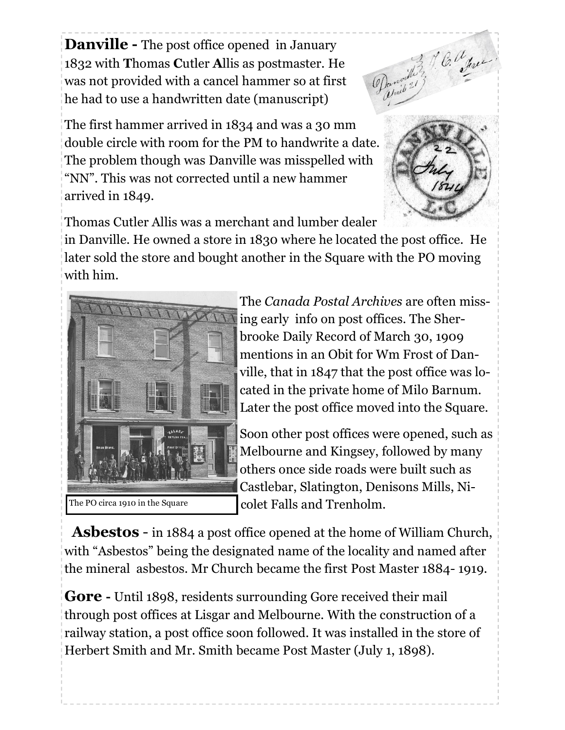**Danville -** The post office opened in January 1832 with **T**homas **C**utler **A**llis as postmaster. He was not provided with a cancel hammer so at first he had to use a handwritten date (manuscript)



The first hammer arrived in 1834 and was a 30 mm double circle with room for the PM to handwrite a date. The problem though was Danville was misspelled with "NN". This was not corrected until a new hammer arrived in 1849.



Thomas Cutler Allis was a merchant and lumber dealer

in Danville. He owned a store in 1830 where he located the post office. He later sold the store and bought another in the Square with the PO moving with him.



The *Canada Postal Archives* are often missing early info on post offices. The Sherbrooke Daily Record of March 30, 1909 mentions in an Obit for Wm Frost of Danville, that in 1847 that the post office was located in the private home of Milo Barnum. Later the post office moved into the Square.

Soon other post offices were opened, such as Melbourne and Kingsey, followed by many others once side roads were built such as Castlebar, Slatington, Denisons Mills, Nicolet Falls and Trenholm.

 **Asbestos** - in 1884 a post office opened at the home of William Church, with "Asbestos" being the designated name of the locality and named after the mineral asbestos. Mr Church became the first Post Master 1884- 1919.

**Gore -** Until 1898, residents surrounding Gore received their mail through post offices at Lisgar and Melbourne. With the construction of a railway station, a post office soon followed. It was installed in the store of Herbert Smith and Mr. Smith became Post Master (July 1, 1898).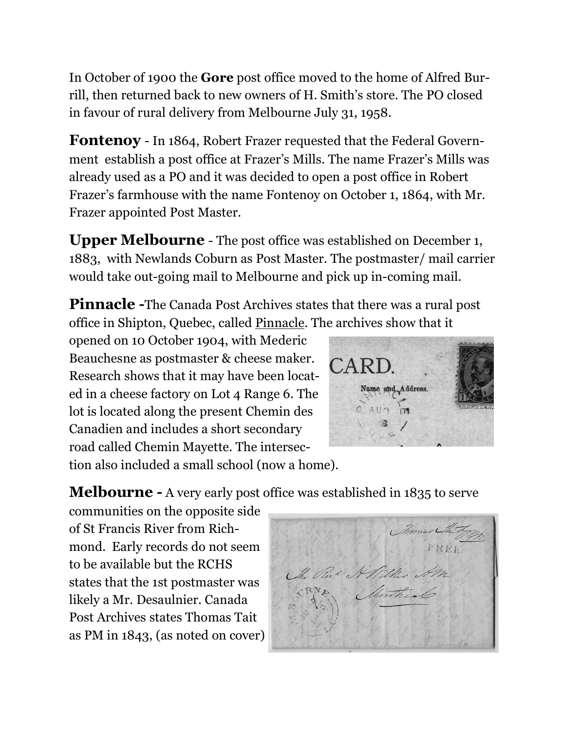In October of 1900 the **Gore** post office moved to the home of Alfred Burrill, then returned back to new owners of H. Smith's store. The PO closed in favour of rural delivery from Melbourne July 31, 1958.

**Fontenoy** - In 1864, Robert Frazer requested that the Federal Government establish a post office at Frazer's Mills. The name Frazer's Mills was already used as a PO and it was decided to open a post office in Robert Frazer's farmhouse with the name Fontenoy on October 1, 1864, with Mr. Frazer appointed Post Master.

**Upper Melbourne** - The post office was established on December 1, 1883, with Newlands Coburn as Post Master. The postmaster/ mail carrier would take out-going mail to Melbourne and pick up in-coming mail.

**Pinnacle -**The Canada Post Archives states that there was a rural post office in Shipton, Quebec, called Pinnacle. The archives show that it

opened on 10 October 1904, with Mederic Beauchesne as postmaster & cheese maker. Research shows that it may have been located in a cheese factory on Lot 4 Range 6. The lot is located along the present Chemin des Canadien and includes a short secondary road called Chemin Mayette. The intersec-



tion also included a small school (now a home).

**Melbourne -** A very early post office was established in 1835 to serve

communities on the opposite side of St Francis River from Richmond. Early records do not seem to be available but the RCHS states that the 1st postmaster was likely a Mr. Desaulnier. Canada Post Archives states Thomas Tait as PM in 1843, (as noted on cover)